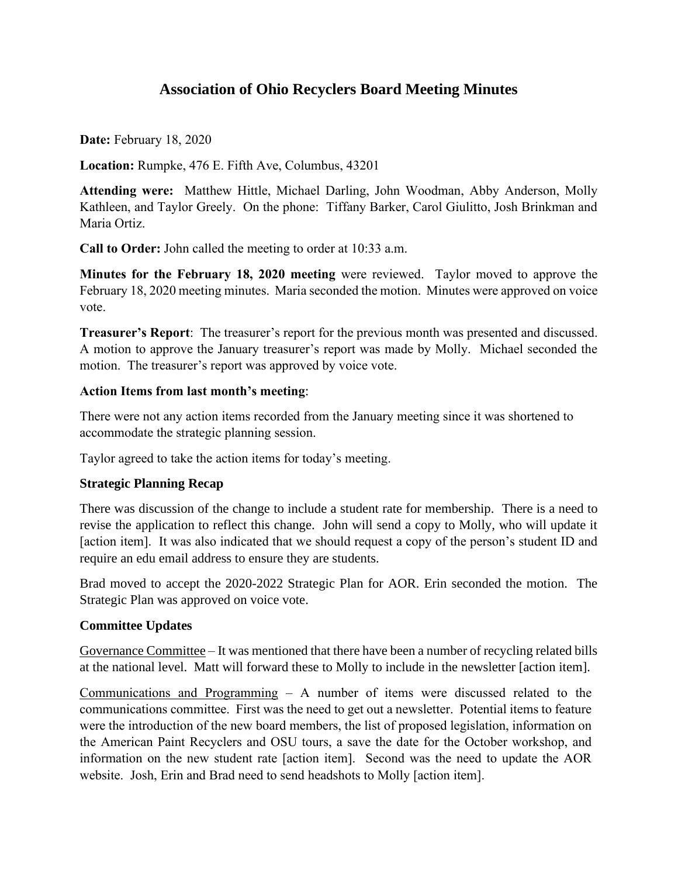# **Association of Ohio Recyclers Board Meeting Minutes**

**Date:** February 18, 2020

**Location:** Rumpke, 476 E. Fifth Ave, Columbus, 43201

**Attending were:** Matthew Hittle, Michael Darling, John Woodman, Abby Anderson, Molly Kathleen, and Taylor Greely. On the phone: Tiffany Barker, Carol Giulitto, Josh Brinkman and Maria Ortiz.

**Call to Order:** John called the meeting to order at 10:33 a.m.

**Minutes for the February 18, 2020 meeting** were reviewed. Taylor moved to approve the February 18, 2020 meeting minutes. Maria seconded the motion. Minutes were approved on voice vote.

**Treasurer's Report**: The treasurer's report for the previous month was presented and discussed. A motion to approve the January treasurer's report was made by Molly. Michael seconded the motion. The treasurer's report was approved by voice vote.

# **Action Items from last month's meeting**:

There were not any action items recorded from the January meeting since it was shortened to accommodate the strategic planning session.

Taylor agreed to take the action items for today's meeting.

### **Strategic Planning Recap**

There was discussion of the change to include a student rate for membership. There is a need to revise the application to reflect this change. John will send a copy to Molly, who will update it [action item]. It was also indicated that we should request a copy of the person's student ID and require an edu email address to ensure they are students.

Brad moved to accept the 2020-2022 Strategic Plan for AOR. Erin seconded the motion. The Strategic Plan was approved on voice vote.

### **Committee Updates**

Governance Committee – It was mentioned that there have been a number of recycling related bills at the national level. Matt will forward these to Molly to include in the newsletter [action item].

Communications and Programming – A number of items were discussed related to the communications committee. First was the need to get out a newsletter. Potential items to feature were the introduction of the new board members, the list of proposed legislation, information on the American Paint Recyclers and OSU tours, a save the date for the October workshop, and information on the new student rate [action item]. Second was the need to update the AOR website. Josh, Erin and Brad need to send headshots to Molly [action item].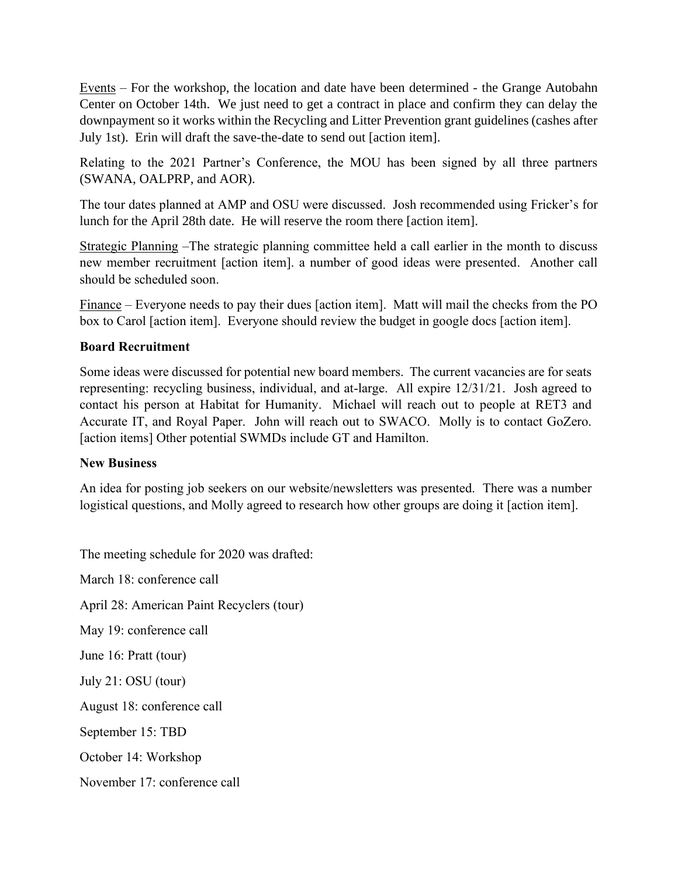Events – For the workshop, the location and date have been determined - the Grange Autobahn Center on October 14th. We just need to get a contract in place and confirm they can delay the downpayment so it works within the Recycling and Litter Prevention grant guidelines (cashes after July 1st). Erin will draft the save-the-date to send out [action item].

Relating to the 2021 Partner's Conference, the MOU has been signed by all three partners (SWANA, OALPRP, and AOR).

The tour dates planned at AMP and OSU were discussed. Josh recommended using Fricker's for lunch for the April 28th date. He will reserve the room there [action item].

Strategic Planning –The strategic planning committee held a call earlier in the month to discuss new member recruitment [action item]. a number of good ideas were presented. Another call should be scheduled soon.

Finance – Everyone needs to pay their dues [action item]. Matt will mail the checks from the PO box to Carol [action item]. Everyone should review the budget in google docs [action item].

# **Board Recruitment**

Some ideas were discussed for potential new board members. The current vacancies are for seats representing: recycling business, individual, and at-large. All expire 12/31/21. Josh agreed to contact his person at Habitat for Humanity. Michael will reach out to people at RET3 and Accurate IT, and Royal Paper. John will reach out to SWACO. Molly is to contact GoZero. [action items] Other potential SWMDs include GT and Hamilton.

### **New Business**

An idea for posting job seekers on our website/newsletters was presented. There was a number logistical questions, and Molly agreed to research how other groups are doing it [action item].

The meeting schedule for 2020 was drafted:

March 18: conference call April 28: American Paint Recyclers (tour) May 19: conference call June 16: Pratt (tour) July 21: OSU (tour) August 18: conference call September 15: TBD October 14: Workshop November 17: conference call